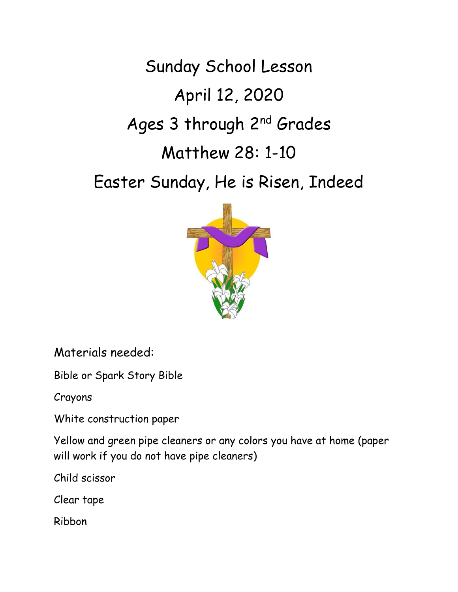Sunday School Lesson April 12, 2020 Ages 3 through 2<sup>nd</sup> Grades Matthew 28: 1-10

Easter Sunday, He is Risen, Indeed



Materials needed:

Bible or Spark Story Bible

Crayons

White construction paper

Yellow and green pipe cleaners or any colors you have at home (paper will work if you do not have pipe cleaners)

Child scissor

Clear tape

Ribbon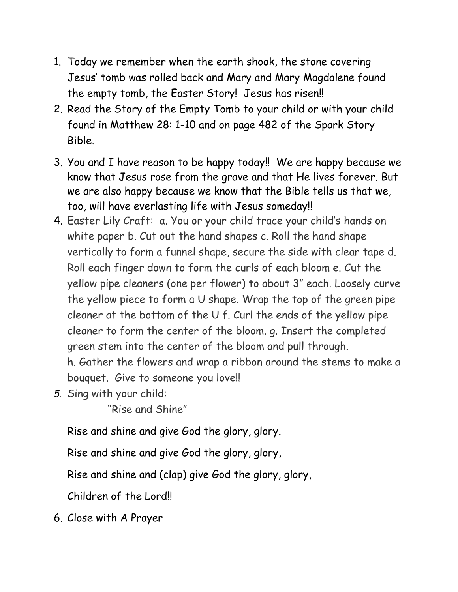- 1. Today we remember when the earth shook, the stone covering Jesus' tomb was rolled back and Mary and Mary Magdalene found the empty tomb, the Easter Story! Jesus has risen!!
- 2. Read the Story of the Empty Tomb to your child or with your child found in Matthew 28: 1-10 and on page 482 of the Spark Story Bible.
- 3. You and I have reason to be happy today!! We are happy because we know that Jesus rose from the grave and that He lives forever. But we are also happy because we know that the Bible tells us that we, too, will have everlasting life with Jesus someday!!
- 4. Easter Lily Craft: a. You or your child trace your child's hands on white paper b. Cut out the hand shapes c. Roll the hand shape vertically to form a funnel shape, secure the side with clear tape d. Roll each finger down to form the curls of each bloom e. Cut the yellow pipe cleaners (one per flower) to about 3" each. Loosely curve the yellow piece to form a U shape. Wrap the top of the green pipe cleaner at the bottom of the U f. Curl the ends of the yellow pipe cleaner to form the center of the bloom. g. Insert the completed green stem into the center of the bloom and pull through. h. Gather the flowers and wrap a ribbon around the stems to make a

bouquet. Give to someone you love!!

*5.* Sing with your child:

"Rise and Shine"

Rise and shine and give God the glory, glory.

Rise and shine and give God the glory, glory,

Rise and shine and (clap) give God the glory, glory,

Children of the Lord!!

6. Close with A Prayer